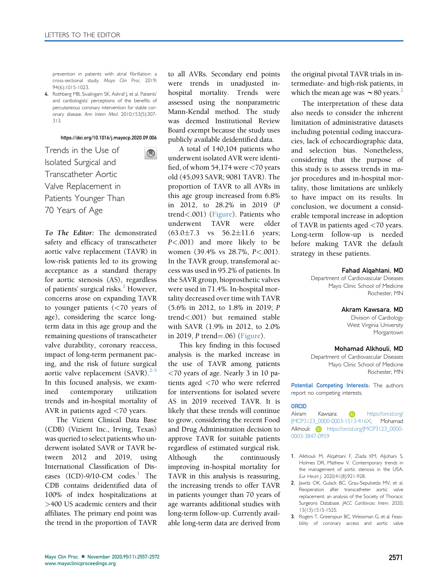prevention in patients with atrial fibrillation: a cross-sectional study. Mayo Clin Proc. 2019; 94(6):1015-1023.

4. Rothberg MB, Sivalingam SK, Ashraf J, et al. Patients' and cardiologists' perceptions of the benefits of percutaneous coronary intervention for stable coronary disease. Ann Intern Med. 2010;153(5):307- 313.

# <https://doi.org/10.1016/j.mayocp.2020.09.006>

 $\bigcirc$ 

Trends in the Use of Isolated Surgical and Transcatheter Aortic Valve Replacement in Patients Younger Than 70 Years of Age

To The Editor: The demonstrated safety and efficacy of transcatheter aortic valve replacement (TAVR) in low-risk patients led to its growing acceptance as a standard therapy for aortic stenosis (AS), regardless of patients' surgical risks.<sup>[1](#page-0-0)</sup> However, concerns arose on expanding TAVR to younger patients (<70 years of age), considering the scarce longterm data in this age group and the remaining questions of transcatheter valve durability, coronary reaccess, impact of long-term permanent pacing, and the risk of future surgical aortic valve replacement  $(SAVR).^{2-5}$  $(SAVR).^{2-5}$  $(SAVR).^{2-5}$ In this focused analysis, we examined contemporary utilization trends and in-hospital mortality of AVR in patients aged <70 years.

The Vizient Clinical Data Base (CDB) (Vizient Inc., Irving, Texas) was queried to select patients who underwent isolated SAVR or TAVR between 2012 and 2019, using International Classification of Diseases  $(ICD)-9/10-CM$  $(ICD)-9/10-CM$  $(ICD)-9/10-CM$  codes.<sup>1</sup> The CDB contains deidentified data of 100% of index hospitalizations at >400 US academic centers and their affiliates. The primary end point was the trend in the proportion of TAVR

to all AVRs. Secondary end points were trends in unadjusted inhospital mortality. Trends were assessed using the nonparametric Mann-Kendal method. The study was deemed Institutional Review Board exempt because the study uses publicly available deidentified data.

A total of 140,104 patients who underwent isolated AVR were identified, of whom 54,174 were <70 years old (45,093 SAVR; 9081 TAVR). The proportion of TAVR to all AVRs in this age group increased from 6.8% in 2012, to 28.2% in 2019 (P trend<.001) (Figure). Patients who underwent TAVR were older  $(63.0 \pm 7.3 \text{ vs } 56.2 \pm 11.6 \text{ years})$ P<.001) and more likely to be women (39.4% vs 28.7%, P<.001). In the TAVR group, transfemoral access was used in 95.2% of patients. In the SAVR group, bioprosthetic valves were used in 71.4%. In-hospital mortality decreased over time with TAVR (5.6% in 2012, to 1.8% in 2019; P trend<.001) but remained stable with SAVR (1.9% in 2012, to 2.0% in 2019, P trend $=$ .06) (Figure).

This key finding in this focused analysis is the marked increase in the use of TAVR among patients <70 years of age. Nearly 3 in 10 patients aged <70 who were referred for interventions for isolated severe AS in 2019 received TAVR. It is likely that these trends will continue to grow, considering the recent Food and Drug Administration decision to approve TAVR for suitable patients regardless of estimated surgical risk. Although the continuously improving in-hospital mortality for TAVR in this analysis is reassuring, the increasing trends to offer TAVR in patients younger than 70 years of age warrants additional studies with long-term follow-up. Currently available long-term data are derived from the original pivotal TAVR trials in intermediate- and high-risk patients, in which the mean age was  $\sim 80$  years.<sup>2</sup>

The interpretation of these data also needs to consider the inherent limitation of administrative datasets including potential coding inaccuracies, lack of echocardiographic data, and selection bias. Nonetheless, considering that the purpose of this study is to assess trends in major procedures and in-hospital mortality, those limitations are unlikely to have impact on its results. In conclusion, we document a considerable temporal increase in adoption of TAVR in patients aged <70 years. Long-term follow-up is needed before making TAVR the default strategy in these patients.

## Fahad Alqahtani, MD

Department of Cardiovascular Diseases Mayo Clinic School of Medicine Rochester, MN

## Akram Kawsara, MD

Division of Cardiology West Virginia University Morgantown

## Mohamad Alkhouli, MD

Department of Cardiovascular Diseases Mayo Clinic School of Medicine Rochester, MN

Potential Competing Interests: The authors report no competing interests.

# ORCID

Akram Kawsara: **iD** [https://orcid.org/](https://orcid.org/JMCP3123_0000-0003-1513-416X) [JMCP3123\\_0000-0003-1513-416X; Mohamad](https://orcid.org/JMCP3123_0000-0003-1513-416X) [Alkhouli:](https://orcid.org/JMCP3123_0000-0003-1513-416X) **b** [https://orcid.org/JMCP3123\\_0000-](https://orcid.org/JMCP3123_0000-0003-3847-0959) [0003-3847-0959](https://orcid.org/JMCP3123_0000-0003-3847-0959)

- <span id="page-0-0"></span>1. Alkhouli M, Alqahtani F, Ziada KM, Aljohani S, Holmes DR, Mathew V. Contemporary trends in the management of aortic stenosis in the USA. Eur Heart J. 2020;41(8):921-928.
- <span id="page-0-1"></span>2. Jawitz OK, Gulack BC, Grau-Sepulveda MV, et al. Reoperation after transcatheter aortic valve replacement: an analysis of the Society of Thoracic Surgeons Database. JACC Cardiovasc Interv. 2020; 13(13):1515-1525.
- 3. Rogers T, Greenspun BC, Weissman G, et al. Feasibility of coronary access and aortic valve